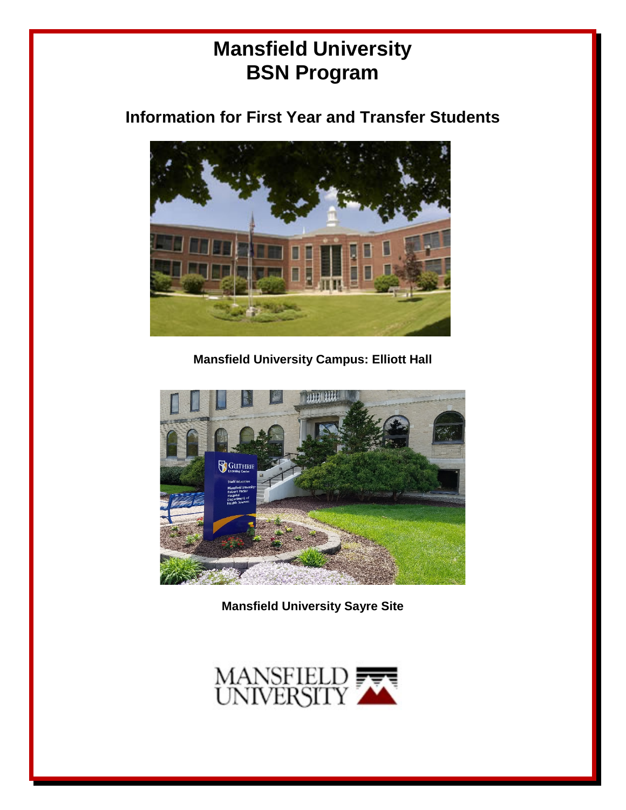# **Mansfield University BSN Program**

## **Information for First Year and Transfer Students**



**Mansfield University Campus: Elliott Hall**



**Mansfield University Sayre Site**

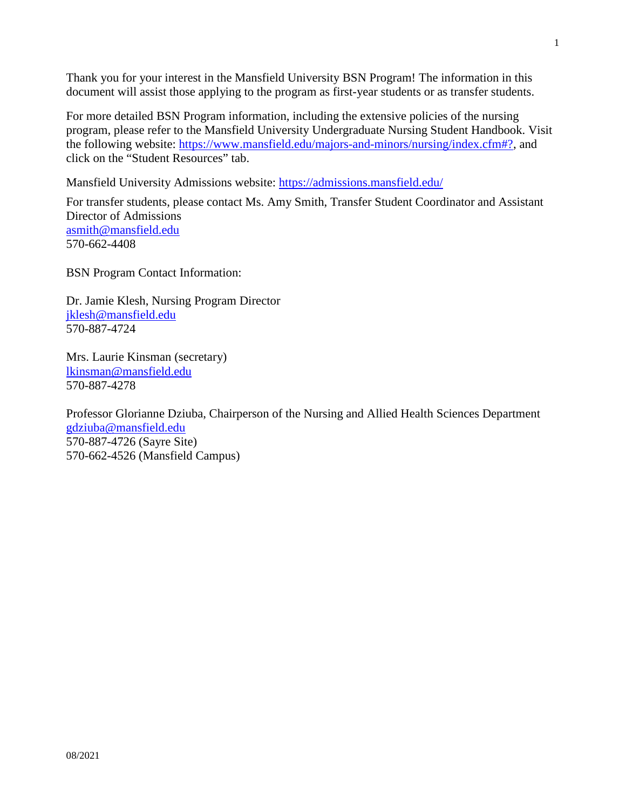Thank you for your interest in the Mansfield University BSN Program! The information in this document will assist those applying to the program as first-year students or as transfer students.

For more detailed BSN Program information, including the extensive policies of the nursing program, please refer to the Mansfield University Undergraduate Nursing Student Handbook. Visit the following website: [https://www.mansfield.edu/majors-and-minors/nursing/index.cfm#?,](https://www.mansfield.edu/majors-and-minors/nursing/index.cfm%23?) and click on the "Student Resources" tab.

Mansfield University Admissions website:<https://admissions.mansfield.edu/>

For transfer students, please contact Ms. Amy Smith, Transfer Student Coordinator and Assistant Director of Admissions [asmith@mansfield.edu](mailto:asmith@mansfield.edu) 570-662-4408

BSN Program Contact Information:

Dr. Jamie Klesh, Nursing Program Director [jklesh@mansfield.edu](mailto:jklesh@mansfield.edu) 570-887-4724

Mrs. Laurie Kinsman (secretary) [lkinsman@mansfield.edu](mailto:lkinsman@mansfield.edu) 570-887-4278

Professor Glorianne Dziuba, Chairperson of the Nursing and Allied Health Sciences Department [gdziuba@mansfield.edu](mailto:gdziuba@mansfield.edu) 570-887-4726 (Sayre Site) 570-662-4526 (Mansfield Campus)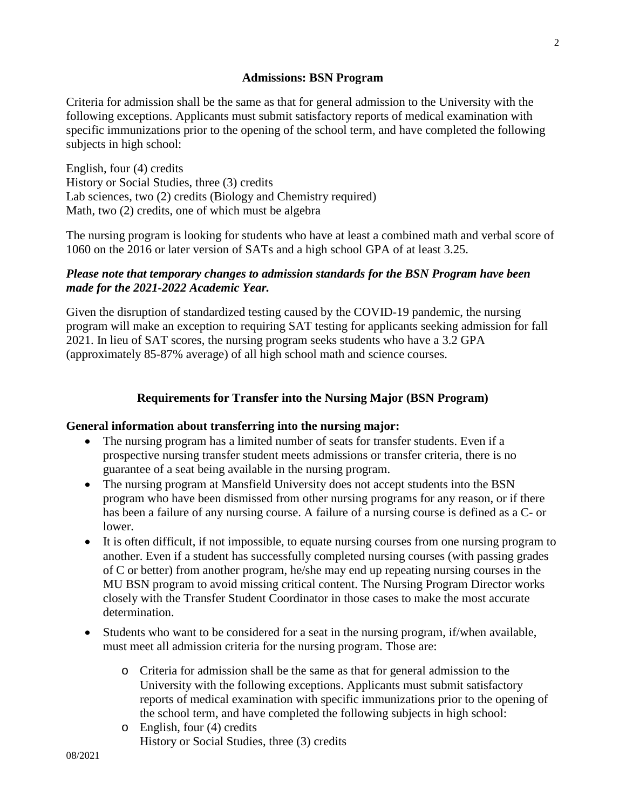#### **Admissions: BSN Program**

Criteria for admission shall be the same as that for general admission to the University with the following exceptions. Applicants must submit satisfactory reports of medical examination with specific immunizations prior to the opening of the school term, and have completed the following subjects in high school:

English, four (4) credits History or Social Studies, three (3) credits Lab sciences, two (2) credits (Biology and Chemistry required) Math, two (2) credits, one of which must be algebra

The nursing program is looking for students who have at least a combined math and verbal score of 1060 on the 2016 or later version of SATs and a high school GPA of at least 3.25.

## *Please note that temporary changes to admission standards for the BSN Program have been made for the 2021-2022 Academic Year.*

Given the disruption of standardized testing caused by the COVID-19 pandemic, the nursing program will make an exception to requiring SAT testing for applicants seeking admission for fall 2021. In lieu of SAT scores, the nursing program seeks students who have a 3.2 GPA (approximately 85-87% average) of all high school math and science courses.

## **Requirements for Transfer into the Nursing Major (BSN Program)**

## **General information about transferring into the nursing major:**

- The nursing program has a limited number of seats for transfer students. Even if a prospective nursing transfer student meets admissions or transfer criteria, there is no guarantee of a seat being available in the nursing program.
- The nursing program at Mansfield University does not accept students into the BSN program who have been dismissed from other nursing programs for any reason, or if there has been a failure of any nursing course. A failure of a nursing course is defined as a C- or lower.
- It is often difficult, if not impossible, to equate nursing courses from one nursing program to another. Even if a student has successfully completed nursing courses (with passing grades of C or better) from another program, he/she may end up repeating nursing courses in the MU BSN program to avoid missing critical content. The Nursing Program Director works closely with the Transfer Student Coordinator in those cases to make the most accurate determination.
- Students who want to be considered for a seat in the nursing program, if/when available, must meet all admission criteria for the nursing program. Those are:
	- o Criteria for admission shall be the same as that for general admission to the University with the following exceptions. Applicants must submit satisfactory reports of medical examination with specific immunizations prior to the opening of the school term, and have completed the following subjects in high school:
	- o English, four (4) credits History or Social Studies, three (3) credits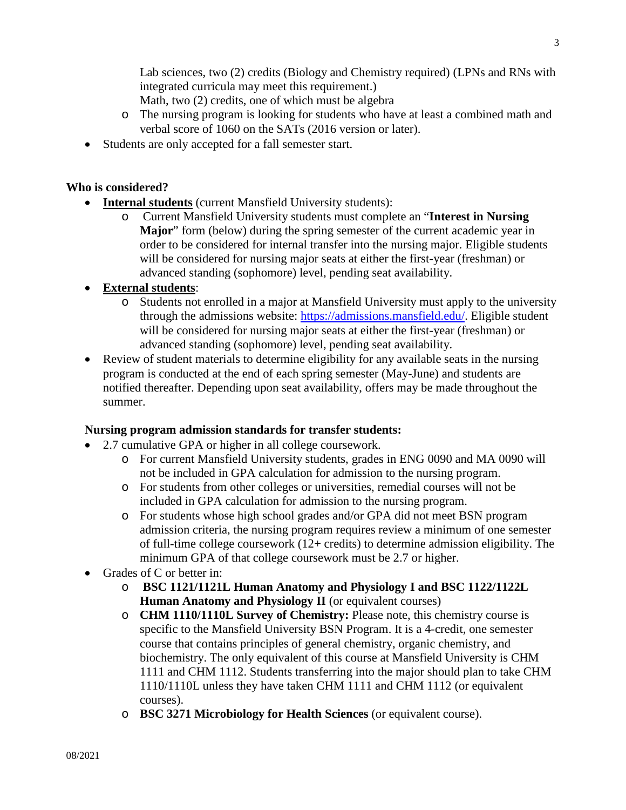Lab sciences, two (2) credits (Biology and Chemistry required) (LPNs and RNs with integrated curricula may meet this requirement.)

Math, two (2) credits, one of which must be algebra

- o The nursing program is looking for students who have at least a combined math and verbal score of 1060 on the SATs (2016 version or later).
- Students are only accepted for a fall semester start.

## **Who is considered?**

- **Internal students** (current Mansfield University students):
	- o Current Mansfield University students must complete an "**Interest in Nursing Major**" form (below) during the spring semester of the current academic year in order to be considered for internal transfer into the nursing major. Eligible students will be considered for nursing major seats at either the first-year (freshman) or advanced standing (sophomore) level, pending seat availability.

## • **External students**:

- o Students not enrolled in a major at Mansfield University must apply to the university through the admissions website: [https://admissions.mansfield.edu/.](https://admissions.mansfield.edu/) Eligible student will be considered for nursing major seats at either the first-year (freshman) or advanced standing (sophomore) level, pending seat availability.
- Review of student materials to determine eligibility for any available seats in the nursing program is conducted at the end of each spring semester (May-June) and students are notified thereafter. Depending upon seat availability, offers may be made throughout the summer.

## **Nursing program admission standards for transfer students:**

- 2.7 cumulative GPA or higher in all college coursework.
	- o For current Mansfield University students, grades in ENG 0090 and MA 0090 will not be included in GPA calculation for admission to the nursing program.
	- o For students from other colleges or universities, remedial courses will not be included in GPA calculation for admission to the nursing program.
	- o For students whose high school grades and/or GPA did not meet BSN program admission criteria, the nursing program requires review a minimum of one semester of full-time college coursework (12+ credits) to determine admission eligibility. The minimum GPA of that college coursework must be 2.7 or higher.
- Grades of C or better in:
	- o **BSC 1121/1121L Human Anatomy and Physiology I and BSC 1122/1122L Human Anatomy and Physiology II** (or equivalent courses)
	- o **CHM 1110/1110L Survey of Chemistry:** Please note, this chemistry course is specific to the Mansfield University BSN Program. It is a 4-credit, one semester course that contains principles of general chemistry, organic chemistry, and biochemistry. The only equivalent of this course at Mansfield University is CHM 1111 and CHM 1112. Students transferring into the major should plan to take CHM 1110/1110L unless they have taken CHM 1111 and CHM 1112 (or equivalent courses).
	- o **BSC 3271 Microbiology for Health Sciences** (or equivalent course).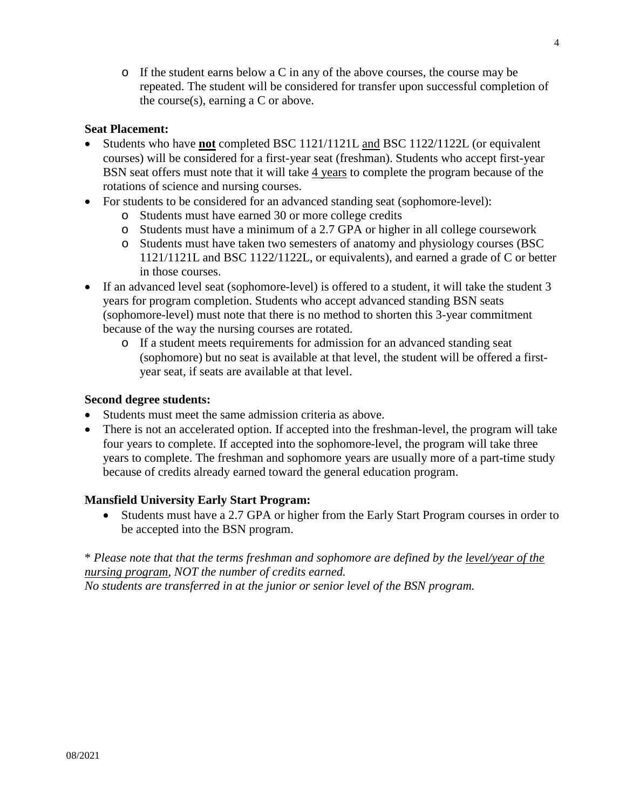o If the student earns below a C in any of the above courses, the course may be repeated. The student will be considered for transfer upon successful completion of the course(s), earning a C or above.

## **Seat Placement:**

- Students who have **not** completed BSC 1121/1121L and BSC 1122/1122L (or equivalent courses) will be considered for a first-year seat (freshman). Students who accept first-year BSN seat offers must note that it will take 4 years to complete the program because of the rotations of science and nursing courses.
- For students to be considered for an advanced standing seat (sophomore-level):
	- o Students must have earned 30 or more college credits
	- o Students must have a minimum of a 2.7 GPA or higher in all college coursework
	- o Students must have taken two semesters of anatomy and physiology courses (BSC 1121/1121L and BSC 1122/1122L, or equivalents), and earned a grade of C or better in those courses.
- If an advanced level seat (sophomore-level) is offered to a student, it will take the student 3 years for program completion. Students who accept advanced standing BSN seats (sophomore-level) must note that there is no method to shorten this 3-year commitment because of the way the nursing courses are rotated.
	- o If a student meets requirements for admission for an advanced standing seat (sophomore) but no seat is available at that level, the student will be offered a firstyear seat, if seats are available at that level.

### **Second degree students:**

- Students must meet the same admission criteria as above.
- There is not an accelerated option. If accepted into the freshman-level, the program will take four years to complete. If accepted into the sophomore-level, the program will take three years to complete. The freshman and sophomore years are usually more of a part-time study because of credits already earned toward the general education program.

## **Mansfield University Early Start Program:**

• Students must have a 2.7 GPA or higher from the Early Start Program courses in order to be accepted into the BSN program.

\* *Please note that that the terms freshman and sophomore are defined by the level/year of the nursing program, NOT the number of credits earned. No students are transferred in at the junior or senior level of the BSN program.*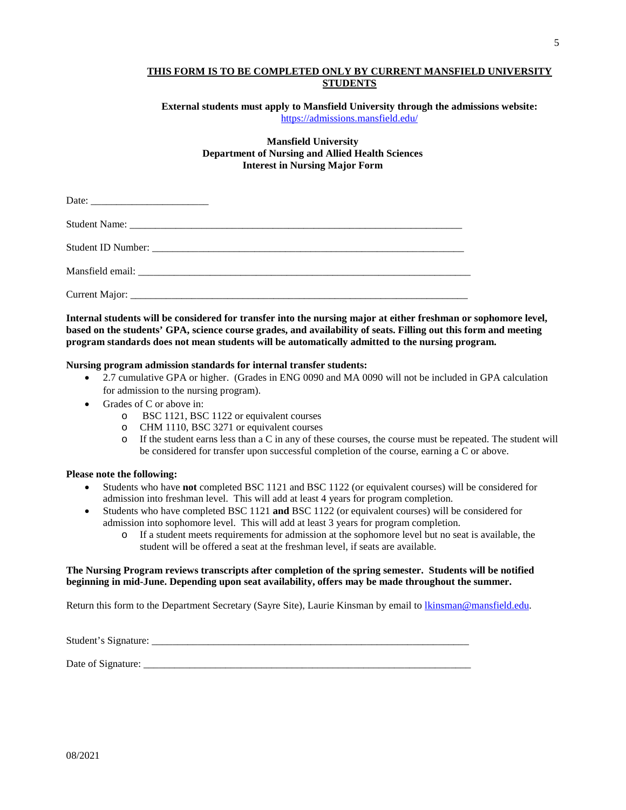#### **THIS FORM IS TO BE COMPLETED ONLY BY CURRENT MANSFIELD UNIVERSITY STUDENTS**

**External students must apply to Mansfield University through the admissions website:**  <https://admissions.mansfield.edu/>

#### **Mansfield University Department of Nursing and Allied Health Sciences Interest in Nursing Major Form**

**Internal students will be considered for transfer into the nursing major at either freshman or sophomore level, based on the students' GPA, science course grades, and availability of seats. Filling out this form and meeting program standards does not mean students will be automatically admitted to the nursing program.** 

#### **Nursing program admission standards for internal transfer students:**

- 2.7 cumulative GPA or higher. (Grades in ENG 0090 and MA 0090 will not be included in GPA calculation for admission to the nursing program).
- Grades of C or above in:
	- o BSC 1121, BSC 1122 or equivalent courses
	- o CHM 1110, BSC 3271 or equivalent courses<br>o If the student earns less than a C in any of the
	- If the student earns less than a C in any of these courses, the course must be repeated. The student will be considered for transfer upon successful completion of the course, earning a C or above.

#### **Please note the following:**

- Students who have **not** completed BSC 1121 and BSC 1122 (or equivalent courses) will be considered for admission into freshman level. This will add at least 4 years for program completion.
- Students who have completed BSC 1121 **and** BSC 1122 (or equivalent courses) will be considered for admission into sophomore level. This will add at least 3 years for program completion.
	- o If a student meets requirements for admission at the sophomore level but no seat is available, the student will be offered a seat at the freshman level, if seats are available.

#### **The Nursing Program reviews transcripts after completion of the spring semester. Students will be notified beginning in mid-June. Depending upon seat availability, offers may be made throughout the summer.**

Return this form to the Department Secretary (Sayre Site), Laurie Kinsman by email to [lkinsman@mansfield.edu.](mailto:lkinsman@mansfield.edu)

Student's Signature: \_\_\_\_\_\_\_\_\_\_\_\_\_\_\_\_\_\_\_\_\_\_\_\_\_\_\_\_\_\_\_\_\_\_\_\_\_\_\_\_\_\_\_\_\_\_\_\_\_\_\_\_\_\_\_\_\_\_\_\_\_\_

Date of Signature: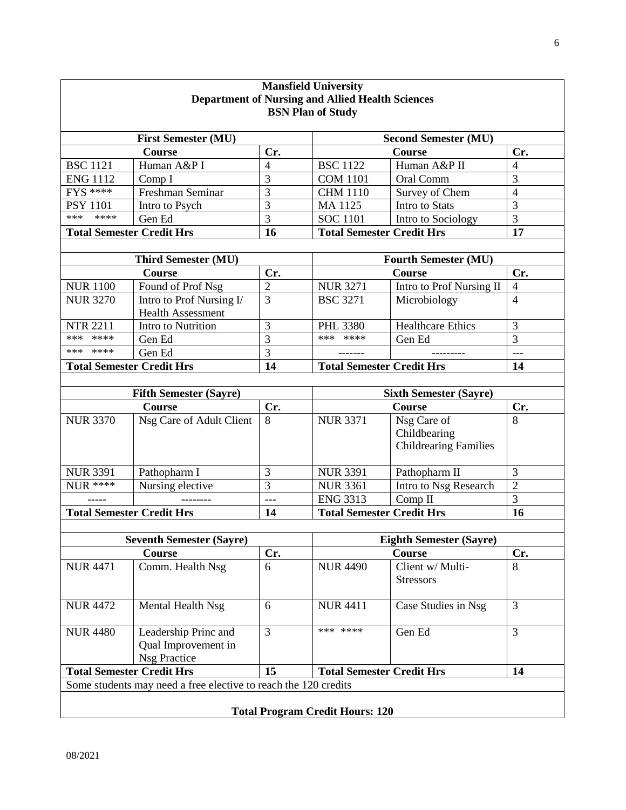| <b>Mansfield University</b><br><b>Department of Nursing and Allied Health Sciences</b><br><b>BSN Plan of Study</b> |                                                                    |                               |                                  |                                                             |                |  |
|--------------------------------------------------------------------------------------------------------------------|--------------------------------------------------------------------|-------------------------------|----------------------------------|-------------------------------------------------------------|----------------|--|
|                                                                                                                    |                                                                    |                               |                                  |                                                             |                |  |
|                                                                                                                    | <b>Course</b>                                                      | Cr.                           |                                  | <b>Course</b>                                               | Cr.            |  |
| <b>BSC 1121</b>                                                                                                    | Human A&P I                                                        | 4                             | <b>BSC 1122</b>                  | Human A&P II                                                | 4              |  |
| <b>ENG 1112</b>                                                                                                    | Comp I                                                             | 3                             | <b>COM 1101</b>                  | Oral Comm                                                   | 3              |  |
| <b>FYS ****</b>                                                                                                    | Freshman Seminar                                                   | 3                             | <b>CHM 1110</b>                  | Survey of Chem                                              | $\overline{4}$ |  |
| <b>PSY 1101</b>                                                                                                    | Intro to Psych                                                     | 3                             | MA 1125                          | Intro to Stats                                              | 3              |  |
| ***<br>****                                                                                                        | Gen Ed                                                             | 3                             | <b>SOC 1101</b>                  | Intro to Sociology                                          | 3              |  |
| <b>Total Semester Credit Hrs</b>                                                                                   |                                                                    | 16                            | <b>Total Semester Credit Hrs</b> |                                                             | 17             |  |
|                                                                                                                    | <b>Third Semester (MU)</b>                                         |                               | <b>Fourth Semester (MU)</b>      |                                                             |                |  |
|                                                                                                                    | <b>Course</b>                                                      | Cr.                           | <b>Course</b>                    |                                                             | Cr.            |  |
| <b>NUR1100</b>                                                                                                     | Found of Prof Nsg                                                  | $\overline{2}$                | <b>NUR 3271</b>                  | Intro to Prof Nursing II                                    | $\overline{4}$ |  |
| <b>NUR 3270</b>                                                                                                    | Intro to Prof Nursing I/                                           | 3                             | <b>BSC 3271</b>                  | Microbiology                                                | $\overline{4}$ |  |
|                                                                                                                    | <b>Health Assessment</b>                                           |                               |                                  |                                                             |                |  |
| <b>NTR 2211</b>                                                                                                    | Intro to Nutrition                                                 | 3                             | <b>PHL 3380</b>                  | <b>Healthcare Ethics</b>                                    | 3              |  |
| ***<br>****                                                                                                        | Gen Ed                                                             | 3                             | *** ****                         | Gen Ed                                                      | 3              |  |
| *** ****                                                                                                           | Gen Ed                                                             | 3                             | -------                          | ---------                                                   | $---$          |  |
| <b>Total Semester Credit Hrs</b>                                                                                   |                                                                    | 14                            | <b>Total Semester Credit Hrs</b> |                                                             | 14             |  |
|                                                                                                                    |                                                                    |                               |                                  |                                                             |                |  |
| <b>Fifth Semester (Sayre)</b>                                                                                      |                                                                    | <b>Sixth Semester (Sayre)</b> |                                  |                                                             |                |  |
|                                                                                                                    | <b>Course</b>                                                      | Cr.                           |                                  | <b>Course</b>                                               | Cr.            |  |
| <b>NUR 3370</b>                                                                                                    | Nsg Care of Adult Client                                           | 8                             | <b>NUR 3371</b>                  | Nsg Care of<br>Childbearing<br><b>Childrearing Families</b> | 8              |  |
| <b>NUR 3391</b>                                                                                                    | Pathopharm I                                                       | 3                             | <b>NUR 3391</b>                  | Pathopharm II                                               | 3              |  |
| <b>NUR ****</b>                                                                                                    | Nursing elective                                                   | $\overline{3}$                | <b>NUR 3361</b>                  | Intro to Nsg Research                                       | $\overline{2}$ |  |
|                                                                                                                    |                                                                    | $---$                         | <b>ENG 3313</b>                  | Comp $II$                                                   | 3              |  |
| <b>Total Semester Credit Hrs</b>                                                                                   |                                                                    | 14                            | <b>Total Semester Credit Hrs</b> |                                                             | 16             |  |
|                                                                                                                    |                                                                    |                               |                                  |                                                             |                |  |
| <b>Seventh Semester (Sayre)</b>                                                                                    |                                                                    |                               | <b>Eighth Semester (Sayre)</b>   |                                                             |                |  |
|                                                                                                                    | Course                                                             | Cr.                           |                                  | Course                                                      | Cr.            |  |
| <b>NUR 4471</b>                                                                                                    | Comm. Health Nsg                                                   | 6                             | <b>NUR 4490</b>                  | Client w/ Multi-<br><b>Stressors</b>                        | 8              |  |
| <b>NUR 4472</b>                                                                                                    | Mental Health Nsg                                                  | 6                             | <b>NUR 4411</b>                  | Case Studies in Nsg                                         | 3              |  |
| <b>NUR 4480</b>                                                                                                    | Leadership Princ and<br>Qual Improvement in<br><b>Nsg Practice</b> | $\overline{3}$                | *** ****                         | Gen Ed                                                      | $\overline{3}$ |  |
| <b>Total Semester Credit Hrs</b>                                                                                   |                                                                    | 15                            | <b>Total Semester Credit Hrs</b> |                                                             | 14             |  |
| Some students may need a free elective to reach the 120 credits                                                    |                                                                    |                               |                                  |                                                             |                |  |
| <b>Total Program Credit Hours: 120</b>                                                                             |                                                                    |                               |                                  |                                                             |                |  |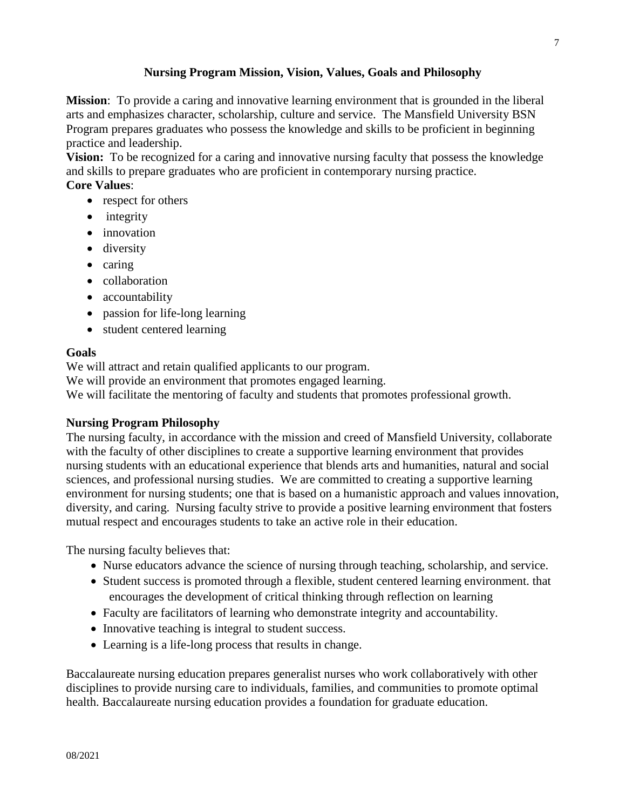## **Nursing Program Mission, Vision, Values, Goals and Philosophy**

**Mission**: To provide a caring and innovative learning environment that is grounded in the liberal arts and emphasizes character, scholarship, culture and service. The Mansfield University BSN Program prepares graduates who possess the knowledge and skills to be proficient in beginning practice and leadership.

**Vision:** To be recognized for a caring and innovative nursing faculty that possess the knowledge and skills to prepare graduates who are proficient in contemporary nursing practice.

## **Core Values**:

- respect for others
- integrity
- innovation
- diversity
- caring
- collaboration
- accountability
- passion for life-long learning
- student centered learning

## **Goals**

We will attract and retain qualified applicants to our program.

We will provide an environment that promotes engaged learning.

We will facilitate the mentoring of faculty and students that promotes professional growth.

## **Nursing Program Philosophy**

The nursing faculty, in accordance with the mission and creed of Mansfield University, collaborate with the faculty of other disciplines to create a supportive learning environment that provides nursing students with an educational experience that blends arts and humanities, natural and social sciences, and professional nursing studies. We are committed to creating a supportive learning environment for nursing students; one that is based on a humanistic approach and values innovation, diversity, and caring. Nursing faculty strive to provide a positive learning environment that fosters mutual respect and encourages students to take an active role in their education.

The nursing faculty believes that:

- Nurse educators advance the science of nursing through teaching, scholarship, and service.
- Student success is promoted through a flexible, student centered learning environment. that encourages the development of critical thinking through reflection on learning
- Faculty are facilitators of learning who demonstrate integrity and accountability.
- Innovative teaching is integral to student success.
- Learning is a life-long process that results in change.

Baccalaureate nursing education prepares generalist nurses who work collaboratively with other disciplines to provide nursing care to individuals, families, and communities to promote optimal health. Baccalaureate nursing education provides a foundation for graduate education.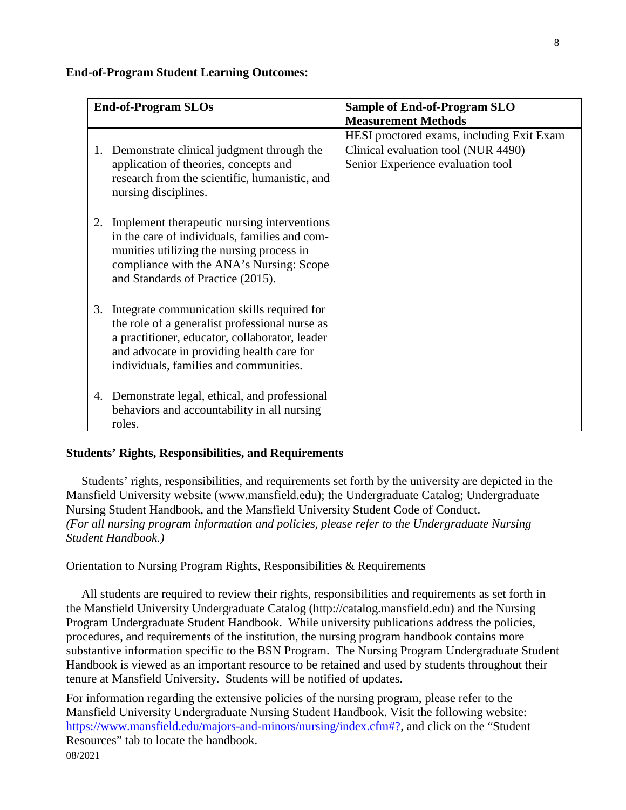#### **End-of-Program Student Learning Outcomes:**

| <b>End-of-Program SLOs</b> |                                                                                                                                                                                                                                        | <b>Sample of End-of-Program SLO</b>                                                                                   |  |  |
|----------------------------|----------------------------------------------------------------------------------------------------------------------------------------------------------------------------------------------------------------------------------------|-----------------------------------------------------------------------------------------------------------------------|--|--|
|                            |                                                                                                                                                                                                                                        | <b>Measurement Methods</b>                                                                                            |  |  |
| 1.                         | Demonstrate clinical judgment through the<br>application of theories, concepts and<br>research from the scientific, humanistic, and<br>nursing disciplines.                                                                            | HESI proctored exams, including Exit Exam<br>Clinical evaluation tool (NUR 4490)<br>Senior Experience evaluation tool |  |  |
| 2.                         | Implement therapeutic nursing interventions<br>in the care of individuals, families and com-<br>munities utilizing the nursing process in<br>compliance with the ANA's Nursing: Scope<br>and Standards of Practice (2015).             |                                                                                                                       |  |  |
| 3.                         | Integrate communication skills required for<br>the role of a generalist professional nurse as<br>a practitioner, educator, collaborator, leader<br>and advocate in providing health care for<br>individuals, families and communities. |                                                                                                                       |  |  |
| 4.                         | Demonstrate legal, ethical, and professional<br>behaviors and accountability in all nursing<br>roles.                                                                                                                                  |                                                                                                                       |  |  |

#### **Students' Rights, Responsibilities, and Requirements**

 Students' rights, responsibilities, and requirements set forth by the university are depicted in the Mansfield University website (www.mansfield.edu); the Undergraduate Catalog; Undergraduate Nursing Student Handbook, and the Mansfield University Student Code of Conduct. *(For all nursing program information and policies, please refer to the Undergraduate Nursing Student Handbook.)*

Orientation to Nursing Program Rights, Responsibilities & Requirements

 All students are required to review their rights, responsibilities and requirements as set forth in the Mansfield University Undergraduate Catalog (http://catalog.mansfield.edu) and the Nursing Program Undergraduate Student Handbook. While university publications address the policies, procedures, and requirements of the institution, the nursing program handbook contains more substantive information specific to the BSN Program. The Nursing Program Undergraduate Student Handbook is viewed as an important resource to be retained and used by students throughout their tenure at Mansfield University. Students will be notified of updates.

08/2021 For information regarding the extensive policies of the nursing program, please refer to the Mansfield University Undergraduate Nursing Student Handbook. Visit the following website: [https://www.mansfield.edu/majors-and-minors/nursing/index.cfm#?,](https://www.mansfield.edu/majors-and-minors/nursing/index.cfm%23?) and click on the "Student" Resources" tab to locate the handbook.